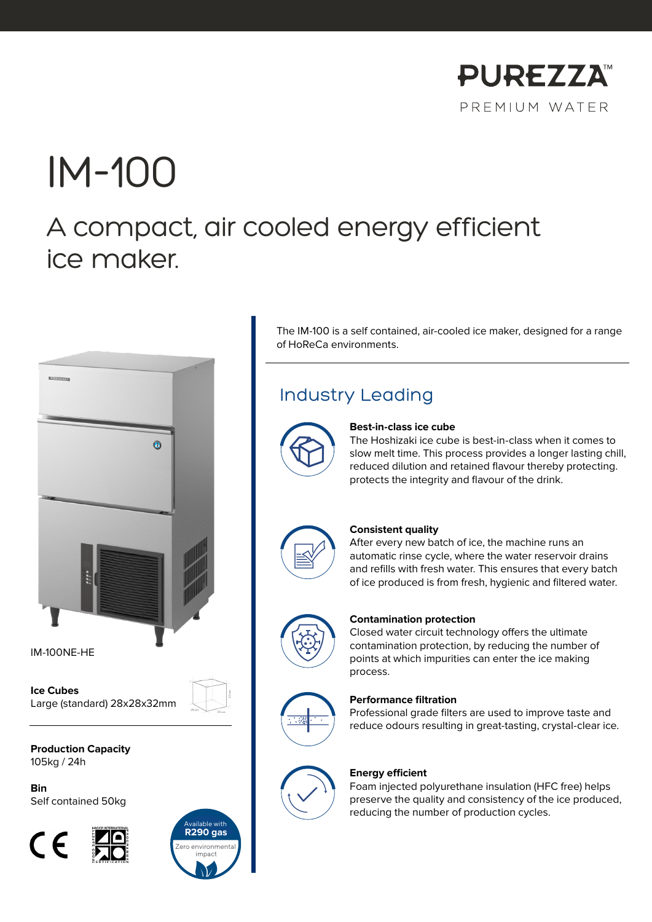

# IM-100 A compact, air cooled energy efficient ice maker.



IM-100NE-HE

**Ice Cubes** Large (standard) 28x28x32mm

**Production Capacity** 105kg / 24h

**Bin** Self contained 50kg





The IM-100 is a self contained, air-cooled ice maker, designed for a range of HoReCa environments.

### Industry Leading



#### **Best-in-class ice cube**

The Hoshizaki ice cube is best-in-class when it comes to slow melt time. This process provides a longer lasting chill, reduced dilution and retained flavour thereby protecting. protects the integrity and flavour of the drink.



#### **Consistent quality**

After every new batch of ice, the machine runs an automatic rinse cycle, where the water reservoir drains and refills with fresh water. This ensures that every batch of ice produced is from fresh, hygienic and filtered water.



#### **Contamination protection**

Closed water circuit technology offers the ultimate contamination protection, by reducing the number of points at which impurities can enter the ice making process.



#### **Performance filtration**

Professional grade filters are used to improve taste and reduce odours resulting in great-tasting, crystal-clear ice.



#### **Energy efficient**

Foam injected polyurethane insulation (HFC free) helps preserve the quality and consistency of the ice produced, reducing the number of production cycles.